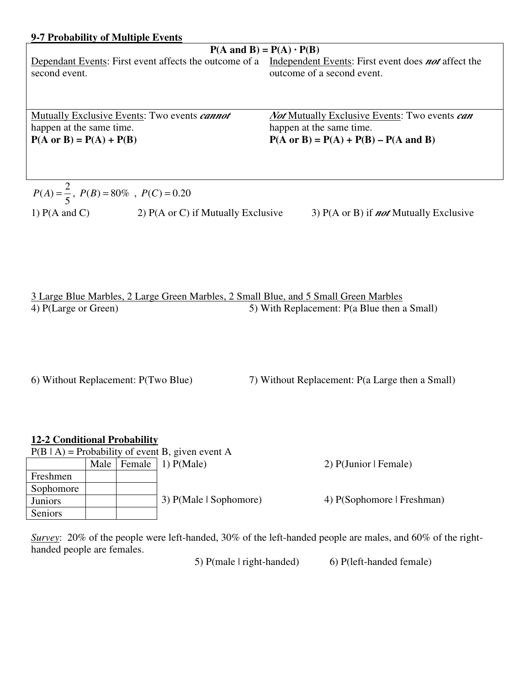## **9-7 Probability of Multiple Events**

# $P(A \text{ and } B) = P(A) \cdot P(B)$

second event.

Dependant Events: First event affects the outcome of a Independent Events: First event does **not** affect the outcome of a second event.

Mutually Exclusive Events: Two events *cannot* happen at the same time.  $P(A \text{ or } B) = P(A) + P(B)$ 

*Not* Mutually Exclusive Events: Two events *can* happen at the same time.  $P(A \text{ or } B) = P(A) + P(B) - P(A \text{ and } B)$ 

$$
P(A) = \frac{2}{5}, P(B) = 80\% , P(C) = 0.20
$$
  
1) P(A and C) 2) P(A or C) if Mutually Exclusive 3) P(A or B) if *not* Mutually Exclusive

| 3 Large Blue Marbles, 2 Large Green Marbles, 2 Small Blue, and 5 Small Green Marbles |                                             |
|--------------------------------------------------------------------------------------|---------------------------------------------|
| 4) P(Large or Green)                                                                 | 5) With Replacement: P(a Blue then a Small) |

6) Without Replacement: P(Two Blue) 7) Without Replacement: P(a Large then a Small)

### **12-2 Conditional Probability**

| $P(B   A)$ = Probability of event B, given event A |      |  |                           |                            |  |  |
|----------------------------------------------------|------|--|---------------------------|----------------------------|--|--|
|                                                    | Male |  | Female $\vert$ 1) P(Male) | 2) P(Junior   Female)      |  |  |
| Freshmen                                           |      |  |                           |                            |  |  |
| Sophomore                                          |      |  |                           |                            |  |  |
| Juniors                                            |      |  | 3) P(Male   Sophomore)    | 4) P(Sophomore   Freshman) |  |  |
| Seniors                                            |      |  |                           |                            |  |  |

*Survey*: 20% of the people were left-handed, 30% of the left-handed people are males, and 60% of the righthanded people are females.

5) P(male | right-handed) 6) P(left-handed female)